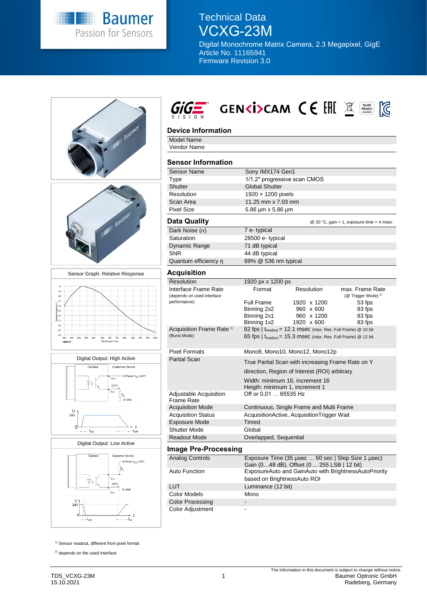

## Technical Data VCXG-23M

Digital Monochrome Matrix Camera, 2.3 Megapixel, GigE Article No. 11165941 Firmware Revision 3.0



1) Sensor readout, different from pixel format

<sup>2)</sup> depends on the used interface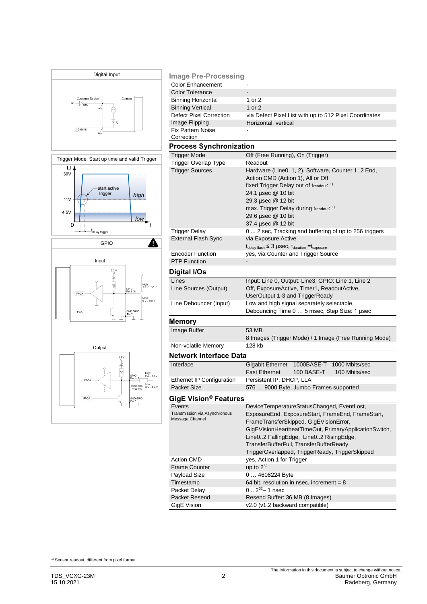

| <b>Image Pre-Processing</b>                           |                                                                                          |  |  |
|-------------------------------------------------------|------------------------------------------------------------------------------------------|--|--|
| <b>Color Enhancement</b>                              |                                                                                          |  |  |
| <b>Color Tolerance</b>                                |                                                                                          |  |  |
| <b>Binning Horizontal</b>                             | 1 or 2                                                                                   |  |  |
| <b>Binning Vertical</b>                               | 1 or 2                                                                                   |  |  |
| Defect Pixel Correction                               | via Defect Pixel List with up to 512 Pixel Coordinates                                   |  |  |
| Image Flipping                                        | Horizontal, vertical                                                                     |  |  |
| <b>Fix Pattern Noise</b>                              |                                                                                          |  |  |
| Correction                                            |                                                                                          |  |  |
| <b>Process Synchronization</b>                        |                                                                                          |  |  |
| <b>Trigger Mode</b>                                   | Off (Free Running), On (Trigger)                                                         |  |  |
| <b>Trigger Overlap Type</b><br><b>Trigger Sources</b> | Readout                                                                                  |  |  |
|                                                       | Hardware (Line0, 1, 2), Software, Counter 1, 2 End,<br>Action CMD (Action 1), All or Off |  |  |
|                                                       | fixed Trigger Delay out of treadout. 1)                                                  |  |  |
|                                                       | 24,1 µsec @ 10 bit                                                                       |  |  |
|                                                       | 29,3 µsec @ 12 bit                                                                       |  |  |
|                                                       | max. Trigger Delay during treadout: 1)                                                   |  |  |
|                                                       | 29,6 µsec @ 10 bit                                                                       |  |  |
|                                                       | 37,4 µsec @ 12 bit                                                                       |  |  |
| <b>Trigger Delay</b>                                  | 0 2 sec, Tracking and buffering of up to 256 triggers                                    |  |  |
| <b>External Flash Sync</b>                            | via Exposure Active                                                                      |  |  |
|                                                       | $t_{\text{delay flash}} \leq 3$ µSec, $t_{\text{duration}} = t_{\text{exposure}}$        |  |  |
| <b>Encoder Function</b>                               | yes, via Counter and Trigger Source                                                      |  |  |
| <b>PTP Function</b>                                   |                                                                                          |  |  |
| Digital I/Os                                          |                                                                                          |  |  |
| Lines                                                 | Input: Line 0, Output: Line3, GPIO: Line 1, Line 2                                       |  |  |
| Line Sources (Output)                                 | Off, ExposureActive, Timer1, ReadoutActive,                                              |  |  |
|                                                       | UserOutput 1-3 and TriggerReady                                                          |  |  |
| Line Debouncer (Input)                                | Low and high signal separately selectable                                                |  |  |
| Debouncing Time 0  5 msec, Step Size: 1 usec          |                                                                                          |  |  |
| Memory                                                |                                                                                          |  |  |
| Image Buffer                                          | 53 MB                                                                                    |  |  |
|                                                       | 8 Images (Trigger Mode) / 1 Image (Free Running Mode)                                    |  |  |
| Non-volatile Memory                                   | 128 kb                                                                                   |  |  |
|                                                       |                                                                                          |  |  |
| <b>Network Interface Data</b>                         |                                                                                          |  |  |
| Interface                                             | <b>Gigabit Ethernet</b><br>1000BASE-T<br>1000 Mbits/sec                                  |  |  |
|                                                       | <b>Fast Ethernet</b><br><b>100 BASE-T</b><br>100 Mbits/sec                               |  |  |
| Ethernet IP Configuration<br><b>Packet Size</b>       | Persistent IP, DHCP, LLA                                                                 |  |  |
|                                                       | 576  9000 Byte, Jumbo Frames supported                                                   |  |  |
| GigE Vision <sup>®</sup> Features                     |                                                                                          |  |  |
| Events                                                | DeviceTemperatureStatusChanged, EventLost,                                               |  |  |
| Transmission via Asynchronous<br>Message Channel      | ExposureEnd, ExposureStart, FrameEnd, FrameStart,                                        |  |  |
|                                                       | FrameTransferSkipped, GigEVisionError,                                                   |  |  |
|                                                       | GigEVisionHeartbeatTimeOut, PrimaryApplicationSwitch,                                    |  |  |
|                                                       | Line02 FallingEdge, Line02 RisingEdge,                                                   |  |  |
|                                                       | TransferBufferFull, TransferBufferReady,                                                 |  |  |
|                                                       | TriggerOverlapped, TriggerReady, TriggerSkipped                                          |  |  |
| <b>Action CMD</b>                                     | yes, Action 1 for Trigger                                                                |  |  |
| <b>Frame Counter</b>                                  | up to $2^{32}$                                                                           |  |  |
| Payload Size                                          | 0  4608224 Byte                                                                          |  |  |
| Timestamp                                             | 64 bit, resolution in nsec, increment = $8$                                              |  |  |
| Packet Delay                                          | $0.2^{32} - 1$ nsec                                                                      |  |  |
| Packet Resend                                         | Resend Buffer: 36 MB (8 Images)                                                          |  |  |
| GigE Vision                                           | v2.0 (v1.2 backward compatible)                                                          |  |  |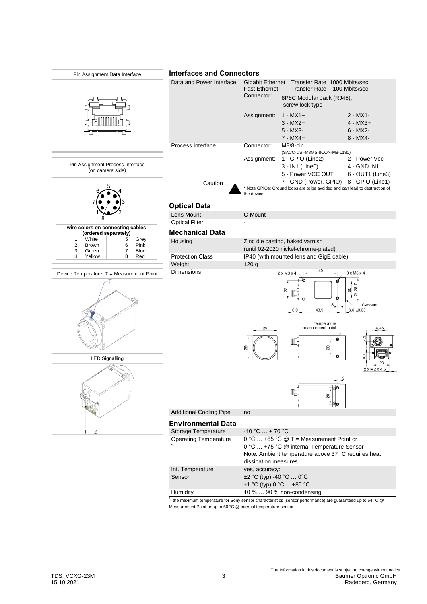

Measurement Point or up to 60 °C @ internal temperature sensor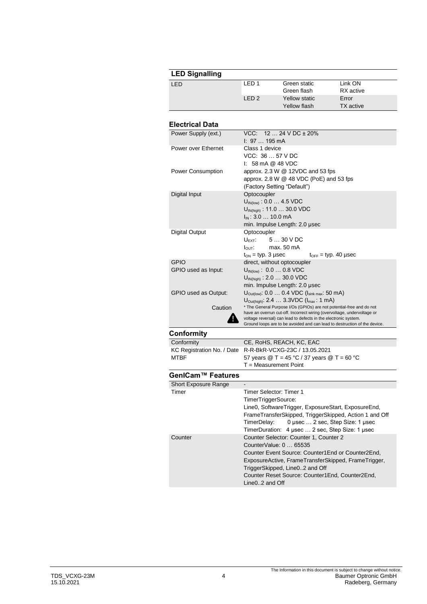| <b>LED Signalling</b> |                  |               |                  |  |
|-----------------------|------------------|---------------|------------------|--|
| LED                   | LED 1            | Green static  | Link ON          |  |
|                       |                  | Green flash   | RX active        |  |
|                       | LED <sub>2</sub> | Yellow static | Error            |  |
|                       |                  | Yellow flash  | <b>TX</b> active |  |

## **Electrical Data**

| Power Supply (ext.)        | VCC: $1224 \text{ V DC} \pm 20\%$<br>$1: 97 195 \text{ mA}$                                                                                |
|----------------------------|--------------------------------------------------------------------------------------------------------------------------------------------|
| Power over Ethernet        | Class 1 device                                                                                                                             |
|                            | VCC: 36  57 V DC                                                                                                                           |
|                            | $\mathsf{I}$ : 58 mA @ 48 VDC                                                                                                              |
| Power Consumption          | approx. $2.3 W @ 12VDC$ and 53 fps                                                                                                         |
|                            | approx. $2.8 W @ 48 VDC (PoE)$ and 53 fps                                                                                                  |
|                            | (Factory Setting "Default")                                                                                                                |
| Digital Input              | Optocoupler                                                                                                                                |
|                            |                                                                                                                                            |
|                            | $U_{\text{IN(low)}}$ : 0.0  4.5 VDC                                                                                                        |
|                            | $U_{IN(high)}$ : 11.0  30.0 VDC                                                                                                            |
|                            | $I_{IN}$ : 3.0  10.0 mA                                                                                                                    |
|                            | min. Impulse Length: 2.0 µsec                                                                                                              |
| <b>Digital Output</b>      | Optocoupler                                                                                                                                |
|                            | 5  30 V DC<br>$U$ FXT.                                                                                                                     |
|                            | $I_{\text{OUT}}$ : max. 50 mA                                                                                                              |
|                            | $t_{ON}$ = typ. 3 µsec<br>$t_{\text{OFF}}$ = typ. 40 µsec                                                                                  |
| <b>GPIO</b>                | direct, without optocoupler                                                                                                                |
| GPIO used as Input:        | $U_{\text{IN(low)}}$ : 0.0  0.8 VDC                                                                                                        |
|                            | $U_{IN(high)}$ : 2.0  30.0 VDC                                                                                                             |
|                            | min. Impulse Length: 2.0 µsec                                                                                                              |
| GPIO used as Output:       | $U_{\text{Outflow}}$ : 0.0  0.4 VDC ( $I_{\text{sink max}}$ : 50 mA)                                                                       |
|                            | $U_{\text{Out(hich)}}$ : 2.4  3.3VDC ( $I_{\text{max}}$ : 1 mA)                                                                            |
| Caution                    | * The General Purpose I/Os (GPIOs) are not potential-free and do not                                                                       |
|                            | have an overrun cut-off. Incorrect wiring (overvoltage, undervoltage or<br>voltage reversal) can lead to defects in the electronic system. |
|                            | Ground loops are to be avoided and can lead to destruction of the device.                                                                  |
| Conformity                 |                                                                                                                                            |
| Conformity                 | CE, RoHS, REACH, KC, EAC                                                                                                                   |
| KC Registration No. / Date | R-R-BkR-VCXG-23C / 13.05.2021                                                                                                              |
| <b>MTBF</b>                | 57 years $@T = 45 °C / 37$ years $@T = 60 °C$                                                                                              |
|                            | $T = Measurement$ Point                                                                                                                    |

## **GenICam™ Features**

| <b>Short Exposure Range</b> |                                                        |  |  |
|-----------------------------|--------------------------------------------------------|--|--|
| Timer                       | Timer Selector: Timer 1                                |  |  |
|                             | TimerTriggerSource:                                    |  |  |
|                             | Line0, SoftwareTrigger, ExposureStart, ExposureEnd,    |  |  |
|                             | FrameTransferSkipped, TriggerSkipped, Action 1 and Off |  |  |
|                             | TimerDelay: 0 usec  2 sec. Step Size: 1 usec           |  |  |
|                             | TimerDuration: 4 usec  2 sec. Step Size: 1 usec        |  |  |
| Counter                     | Counter Selector: Counter 1, Counter 2                 |  |  |
|                             | CounterValue: 0  65535                                 |  |  |
|                             | Counter Event Source: Counter1 End or Counter2 End.    |  |  |
|                             | ExposureActive, FrameTransferSkipped, FrameTrigger,    |  |  |
|                             | TriggerSkipped, Line02 and Off                         |  |  |
|                             | Counter Reset Source: Counter1End, Counter2End,        |  |  |
|                             | Line02 and Off                                         |  |  |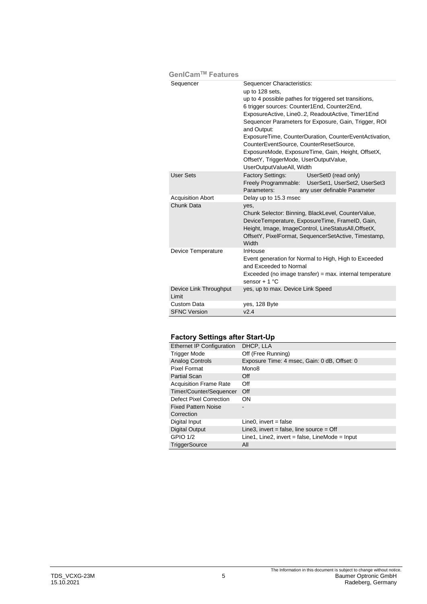| GenICam™ Features               |                                                                                                                                                                                                                                                                                                                                                                                                                                                                                                                       |
|---------------------------------|-----------------------------------------------------------------------------------------------------------------------------------------------------------------------------------------------------------------------------------------------------------------------------------------------------------------------------------------------------------------------------------------------------------------------------------------------------------------------------------------------------------------------|
| Sequencer                       | Sequencer Characteristics:<br>up to 128 sets,<br>up to 4 possible pathes for triggered set transitions,<br>6 trigger sources: Counter1End, Counter2End,<br>ExposureActive, Line02, ReadoutActive, Timer1End<br>Sequencer Parameters for Exposure, Gain, Trigger, ROI<br>and Output:<br>ExposureTime, CounterDuration, CounterEventActivation,<br>CounterEventSource, CounterResetSource,<br>ExposureMode, ExposureTime, Gain, Height, OffsetX,<br>OffsetY, TriggerMode, UserOutputValue,<br>UserOutputValueAll, Width |
| <b>User Sets</b>                | Factory Settings:<br>UserSet0 (read only)<br>Freely Programmable: UserSet1, UserSet2, UserSet3<br>Parameters:<br>any user definable Parameter                                                                                                                                                                                                                                                                                                                                                                         |
| <b>Acquisition Abort</b>        | Delay up to 15.3 msec                                                                                                                                                                                                                                                                                                                                                                                                                                                                                                 |
| Chunk Data                      | yes,<br>Chunk Selector: Binning, BlackLevel, CounterValue,<br>DeviceTemperature, ExposureTime, FrameID, Gain,<br>Height, Image, ImageControl, LineStatusAll, OffsetX,<br>OffsetY, PixelFormat, SequencerSetActive, Timestamp,<br>Width                                                                                                                                                                                                                                                                                |
| Device Temperature              | InHouse<br>Event generation for Normal to High, High to Exceeded<br>and Exceeded to Normal<br>$Exceeded$ (no image transfer) = max. internal temperature<br>sensor + $1^{\circ}$ C                                                                                                                                                                                                                                                                                                                                    |
| Device Link Throughput<br>Limit | yes, up to max. Device Link Speed                                                                                                                                                                                                                                                                                                                                                                                                                                                                                     |
| Custom Data                     | yes, 128 Byte                                                                                                                                                                                                                                                                                                                                                                                                                                                                                                         |
| <b>SFNC Version</b>             | v2.4                                                                                                                                                                                                                                                                                                                                                                                                                                                                                                                  |

## **Factory Settings after Start-Up**

| Ethernet IP Configuration     | DHCP, LLA                                        |
|-------------------------------|--------------------------------------------------|
| <b>Trigger Mode</b>           | Off (Free Running)                               |
| <b>Analog Controls</b>        | Exposure Time: 4 msec, Gain: 0 dB, Offset: 0     |
| Pixel Format                  | Mono <sub>8</sub>                                |
| <b>Partial Scan</b>           | Off                                              |
| <b>Acquisition Frame Rate</b> | Off                                              |
| Timer/Counter/Sequencer       | Off                                              |
| Defect Pixel Correction       | <b>ON</b>                                        |
| <b>Fixed Pattern Noise</b>    |                                                  |
| Correction                    |                                                  |
| Digital Input                 | $Line 0$ , invert = false                        |
| <b>Digital Output</b>         | Line3, invert = false, line source = $Off$       |
| <b>GPIO 1/2</b>               | Line1, Line2, invert = false, LineMode = $Input$ |
| <b>TriggerSource</b>          | All                                              |